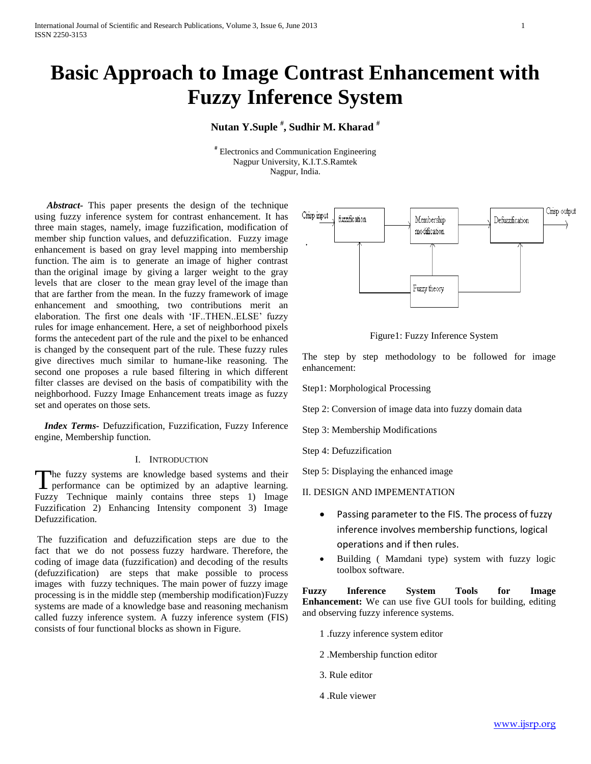# **Basic Approach to Image Contrast Enhancement with Fuzzy Inference System**

## **Nutan Y.Suple # , Sudhir M. Kharad #**

# Electronics and Communication Engineering Nagpur University, K.I.T.S.Ramtek Nagpur, India.

 *Abstract-* This paper presents the design of the technique using fuzzy inference system for contrast enhancement. It has three main stages, namely, image fuzzification, modification of member ship function values, and defuzzification. Fuzzy image enhancement is based on gray level mapping into membership function. The aim is to generate an image of higher contrast than the original image by giving a larger weight to the gray levels that are closer to the mean gray level of the image than that are farther from the mean. In the fuzzy framework of image enhancement and smoothing, two contributions merit an elaboration. The first one deals with 'IF..THEN..ELSE' fuzzy rules for image enhancement. Here, a set of neighborhood pixels forms the antecedent part of the rule and the pixel to be enhanced is changed by the consequent part of the rule. These fuzzy rules give directives much similar to humane-like reasoning. The second one proposes a rule based filtering in which different filter classes are devised on the basis of compatibility with the neighborhood. Fuzzy Image Enhancement treats image as fuzzy set and operates on those sets.

 *Index Terms-* Defuzzification, Fuzzification, Fuzzy Inference engine, Membership function.

#### I. INTRODUCTION

The fuzzy systems are knowledge based systems and their The fuzzy systems are knowledge based systems and their performance can be optimized by an adaptive learning. Fuzzy Technique mainly contains three steps 1) Image Fuzzification 2) Enhancing Intensity component 3) Image Defuzzification.

The fuzzification and defuzzification steps are due to the fact that we do not possess fuzzy hardware. Therefore, the coding of image data (fuzzification) and decoding of the results (defuzzification) are steps that make possible to process images with fuzzy techniques. The main power of fuzzy image processing is in the middle step (membership modification)Fuzzy systems are made of a knowledge base and reasoning mechanism called fuzzy inference system. A fuzzy inference system (FIS) consists of four functional blocks as shown in Figure.



Figure1: Fuzzy Inference System

The step by step methodology to be followed for image enhancement:

Step1: Morphological Processing

Step 2: Conversion of image data into fuzzy domain data

Step 3: Membership Modifications

Step 4: Defuzzification

Step 5: Displaying the enhanced image

II. DESIGN AND IMPEMENTATION

- Passing parameter to the FIS. The process of fuzzy inference involves membership functions, logical operations and if then rules.
- Building ( Mamdani type) system with fuzzy logic toolbox software.

**Fuzzy Inference System Tools for Image Enhancement:** We can use five GUI tools for building, editing and observing fuzzy inference systems.

- 1 .fuzzy inference system editor
- 2 .Membership function editor
- 3. Rule editor
- 4 .Rule viewer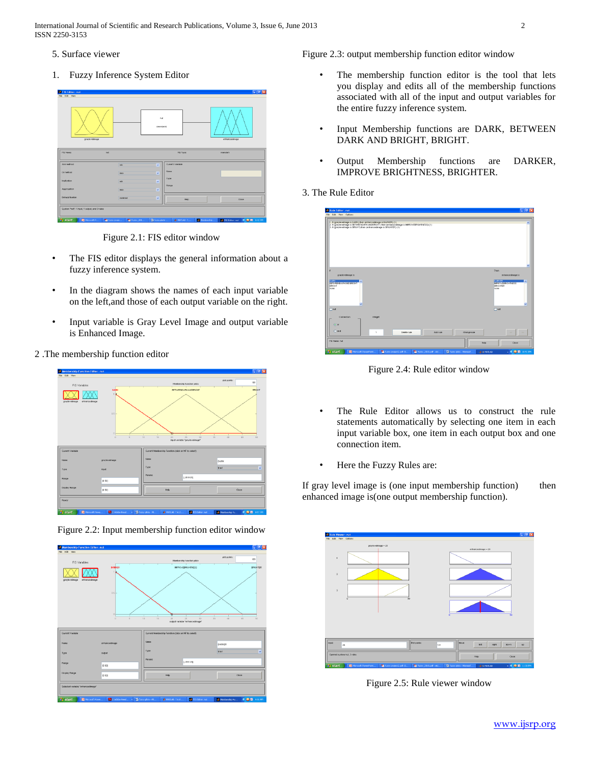International Journal of Scientific and Research Publications, Volume 3, Issue 6, June 2013 2 ISSN 2250-3153

- 5. Surface viewer
- 1. Fuzzy Inference System Editor

| graylevelinage                               |            | n<br>(interidani)        |                  | erhancedinage |
|----------------------------------------------|------------|--------------------------|------------------|---------------|
| FIS Name:                                    | <b>DUT</b> |                          | FIS Type:        | manufaci      |
| And method.                                  | min        | ≂                        | Current Variable |               |
| Or nethod                                    | max        | $\overline{\phantom{0}}$ | Name             |               |
| Implication                                  | min        | $\overline{\phantom{0}}$ | Type             |               |
| Aggregation                                  | max.       | $\overline{\phantom{0}}$ | Ratge            |               |
| Defuzzitication                              | centroid   | ≂                        | Help.            | Close         |
| System 'Yxd': 1 input, 1 output, and 3 rules |            |                          |                  |               |

Figure 2.1: FIS editor window

- The FIS editor displays the general information about a fuzzy inference system.
- In the diagram shows the names of each input variable on the left,and those of each output variable on the right.
- Input variable is Gray Level Image and output variable is Enhanced Image.

## 2 .The membership function editor





Figure 2.2: Input membership function editor window

Figure 2.3: output membership function editor window

- The membership function editor is the tool that lets you display and edits all of the membership functions associated with all of the input and output variables for the entire fuzzy inference system.
- Input Membership functions are DARK, BETWEEN DARK AND BRIGHT, BRIGHT.
- Output Membership functions are DARKER, IMPROVE BRIGHTNESS, BRIGHTER.

## 3. The Rule Editor

| Rule Editor: nut<br>File Edit View Options                                                                                                                                                                                                  | $\square$ n $\times$                                                                                               |
|---------------------------------------------------------------------------------------------------------------------------------------------------------------------------------------------------------------------------------------------|--------------------------------------------------------------------------------------------------------------------|
| 1. If (graylevelmage is DARK) then (enhancedinage is DARKER) (1).<br>2. If (grayfevelinege is BETWEENDARKANDERIGHT) then (enhancedinage is IMPROVEDRIGHTNESS) (1)<br>3. If (graylevelinage is BRIGHT) then (enhancedimical is BRIGHTER) (1) | $\hat{\phantom{a}}$                                                                                                |
|                                                                                                                                                                                                                                             |                                                                                                                    |
|                                                                                                                                                                                                                                             |                                                                                                                    |
|                                                                                                                                                                                                                                             |                                                                                                                    |
| ×                                                                                                                                                                                                                                           | Then                                                                                                               |
| grayfevolmage is                                                                                                                                                                                                                            | enhancedanage is                                                                                                   |
| <b>DARK</b><br><b>DETWEENDARKANDERIGHT</b><br><b>BRIGHT</b><br>none                                                                                                                                                                         | 12555313<br>$\hat{\phantom{a}}$<br><b>IMPROVED/RGHTNESS</b><br><b>BRIGHTER</b><br>none<br>$\overline{\phantom{a}}$ |
| $\Box$ not                                                                                                                                                                                                                                  | $\Box$ not                                                                                                         |
|                                                                                                                                                                                                                                             |                                                                                                                    |
| Connection<br>Weight                                                                                                                                                                                                                        |                                                                                                                    |
| $\odot$ or                                                                                                                                                                                                                                  |                                                                                                                    |
| Oand<br>$\mathbf{I}$<br>Delete rule<br>Add rule<br>Change rule                                                                                                                                                                              | $\sim$<br>$\sim$                                                                                                   |
| FIS Name: nut<br>Holo                                                                                                                                                                                                                       | Close                                                                                                              |
| <b>TA</b> Fuzzy, 2010.pdf - Ad.,<br>the fuzzy project2.pdf (S<br><b>B</b> start<br><b>R</b> Microsoft PowerPoint.<br><sup>2</sup> fuzzy plots - Mcrosof.<br>A 4 MATLAB                                                                      | $  0.02$ 10:51 PM                                                                                                  |

Figure 2.4: Rule editor window

- The Rule Editor allows us to construct the rule statements automatically by selecting one item in each input variable box, one item in each output box and one connection item.
- Here the Fuzzy Rules are:

If gray level image is (one input membership function) then enhanced image is(one output membership function).

| Rule Viewer: nut<br>File Edit View Options |         |                     |                     |          |                     | $\Box$ a $\times$ |
|--------------------------------------------|---------|---------------------|---------------------|----------|---------------------|-------------------|
| ٠                                          |         | graylevelinage = 25 |                     |          | erivancedimage = 25 |                   |
| $\overline{z}$                             |         |                     |                     |          |                     |                   |
| $\overline{a}$                             | $\circ$ | $\overline{60}$     |                     |          |                     |                   |
|                                            |         |                     |                     | $\Omega$ |                     | $\vec{v}$         |
|                                            |         |                     |                     |          |                     |                   |
| <b>Input:</b><br>25                        |         |                     | Plot points:<br>101 | Move:    | loft.<br>right      | down<br>up.       |
|                                            |         |                     |                     |          |                     |                   |

Figure 2.5: Rule viewer window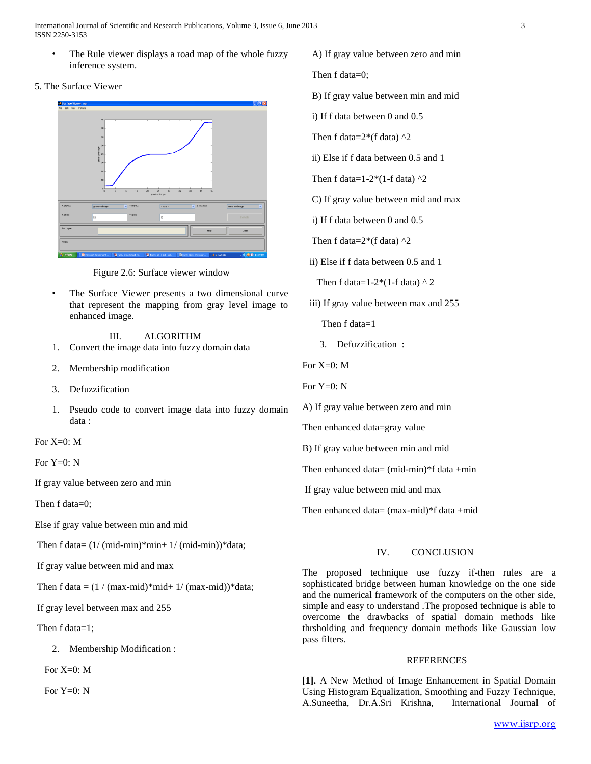International Journal of Scientific and Research Publications, Volume 3, Issue 6, June 2013 3 ISSN 2250-3153

The Rule viewer displays a road map of the whole fuzzy inference system.

#### 5. The Surface Viewer



Figure 2.6: Surface viewer window

The Surface Viewer presents a two dimensional curve that represent the mapping from gray level image to enhanced image.

III. ALGORlTHM

- 1. Convert the image data into fuzzy domain data
- 2. Membership modification
- 3. Defuzzification
- 1. Pseudo code to convert image data into fuzzy domain data :

For  $X=0$ : M

For Y=0: N

If gray value between zero and min

Then f data=0;

Else if gray value between min and mid

Then f data=  $(1/(mid-min)*min+1/(mid-min))*data;$ 

If gray value between mid and max

Then f data =  $(1 / (max - mid)*mid + 1 / (max - mid))*data;$ 

If gray level between max and 255

Then f data=1;

2. Membership Modification :

For  $X=0$ : M

For  $Y=0$ : N

A) If gray value between zero and min

Then f data=0;

B) If gray value between min and mid

- i) If f data between 0 and 0.5
- Then f data= $2*(f \text{ data})$  ^2

ii) Else if f data between 0.5 and 1

Then f data=1-2 $*(1-f \text{ data})$  ^2

C) If gray value between mid and max

i) If f data between 0 and 0.5

Then f data= $2*(f \text{ data})$  ^2

ii) Else if f data between 0.5 and 1

Then f data=1-2\*(1-f data)  $\wedge$  2

iii) If gray value between max and 255

Then f data=1

3. Defuzzification :

For  $X=0$  M

For  $Y=0$ : N

A) If gray value between zero and min

Then enhanced data=gray value

B) If gray value between min and mid

Then enhanced data=  $(mid-min)*f$  data +min

If gray value between mid and max

Then enhanced data= (max-mid)\*f data +mid

## IV. CONCLUSION

The proposed technique use fuzzy if-then rules are a sophisticated bridge between human knowledge on the one side and the numerical framework of the computers on the other side, simple and easy to understand .The proposed technique is able to overcome the drawbacks of spatial domain methods like thrsholding and frequency domain methods like Gaussian low pass filters.

### REFERENCES

**[1].** A New Method of Image Enhancement in Spatial Domain Using Histogram Equalization, Smoothing and Fuzzy Technique, A.Suneetha, Dr.A.Sri Krishna, International Journal of